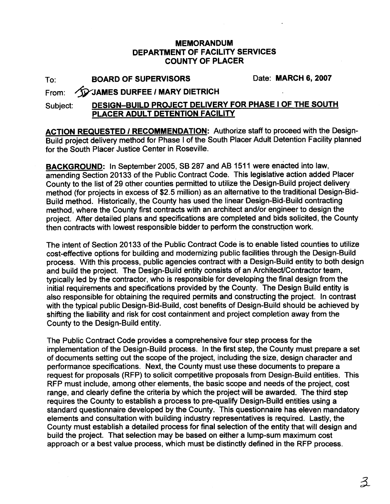## **MEMORANDUM DEPARTMENT OF FACILITY SERVICES COUNTY OF PLACER**

To: **BOARD OF SUPERVISORS** Date: **MARCH 6,** 2007

## From: *AD* JAMES DURFEE / MARY DIETRICH

## Subject: **DESIGN-BUILD PROJECT DELIVERY FOR PHASE I OF THE SOUTH PLACER ADULT DETENTION FACILITY**

**ACTION REQUESTED I RECOMMENDATION:** Authorize staff to proceed with the Design-Build project delivery method for Phase I of the South Placer Adult Detention Facility planned for the South Placer Justice Center in Roseville.

**BACKGROUND:** In September 2005, SB 287 and AB 1511 were enacted into law. amending Section 20133 of the Public Contract Code. This legislative action added Placer County to the list of 29 other counties permitted to utilize the Design-Build project delivery method (for projects in excess of \$2.5 million) as an alternative to the traditional Design-Bid-Build method. Historically, the County has used the linear Design-Bid-Build contracting method, where the County first contracts with an architect and/or engineer to design the project. After detailed plans and specifications are completed and bids solicited, the County then contracts with lowest responsible bidder to perform the construction work.

The intent of Section 20133 of the Public Contract Code is to enable listed counties to utilize cost-effective options for building and modernizing public facilities through the Design-Build process. With this process, public agencies contract with a Design-Build entity to both design and build the project. The Design-Build entity consists of an Architect/Contractor team, typically led by the contractor, who is responsible for developing the final design from the initial requirements and specifications provided by the County. The Design Build entity is also responsible for obtaining the required permits and constructing the project. In contrast with the typical public Design-Bid-Build, cost benefits of Design-Build should be achieved by shifting the liability and risk for cost containment and project completion away from the County to the Design-Build entity.

The Public Contract Code provides a comprehensive four step process for the implementation of the Design-Build process. In the first step, the County must prepare a set of documents setting out the scope of the project, including the size, design character and performance specifications. Next, the County must use these documents to prepare a request for proposals (RFP) to solicit competitive proposals from Design-Build entities. This RFP must include, among other elements, the basic scope and needs of the project, cost range, and clearly define the criteria by which the project will be awarded. The third step requires the County to establish a process to pre-qualify Design-Build entities using a standard questionnaire developed by the County. This questionnaire has eleven mandatory elements and consultation with building industry representatives is required. Lastly, the County must establish a detailed process for final selection of the entity that will design and build the project. That selection may be based on either a lump-sum maximum cost approach or a best value process, which must be distinctly defined in the RFP process.